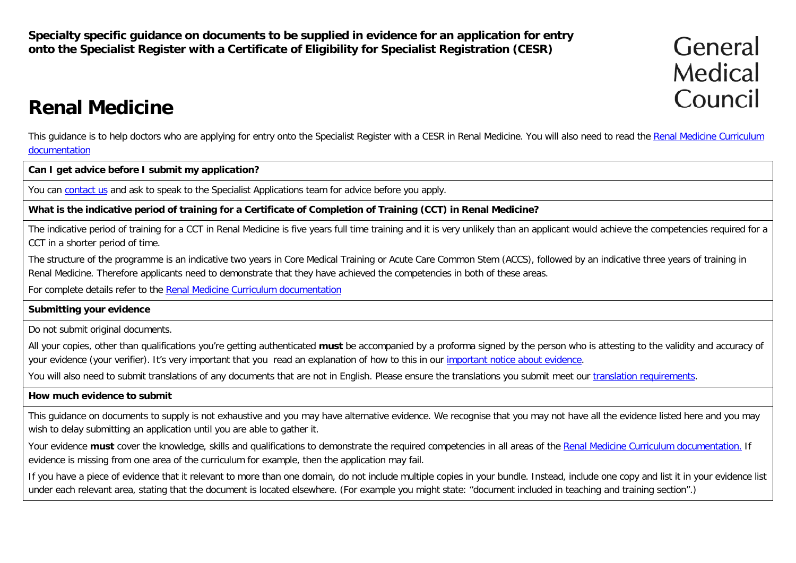**Specialty specific guidance on documents to be supplied in evidence for an application for entry onto the Specialist Register with a Certificate of Eligibility for Specialist Registration (CESR)**

General Medical Council

# **Renal Medicine**

This guidance is to help doctors who are applying for entry onto the Specialist Register with a CESR in Renal Medicine. You will also need to read the Renal Medicine Curriculum [documentation](http://www.gmc-uk.org/education/postgraduate/renal_medicine.asp)

**Can I get advice before I submit my application?**

You can [contact us](http://www.gmc-uk.org/contact.asp) and ask to speak to the Specialist Applications team for advice before you apply.

**What is the indicative period of training for a Certificate of Completion of Training (CCT) in Renal Medicine?**

The indicative period of training for a CCT in Renal Medicine is five years full time training and it is very unlikely than an applicant would achieve the competencies required for a CCT in a shorter period of time.

The structure of the programme is an indicative two years in Core Medical Training or Acute Care Common Stem (ACCS), followed by an indicative three years of training in Renal Medicine. Therefore applicants need to demonstrate that they have achieved the competencies in both of these areas.

For complete details refer to the [Renal Medicine Curriculum documentation](http://www.gmc-uk.org/education/postgraduate/renal_medicine.asp)

**Submitting your evidence**

Do not submit original documents.

All your copies, other than qualifications you're getting authenticated **must** be accompanied by a proforma signed by the person who is attesting to the validity and accuracy of your evidence (your verifier). It's very important that you read an explanation of how to this in our *important notice about evidence*.

You will also need to submit translations of any documents that are not in English. Please ensure the translations you submit meet our [translation requirements.](http://www.gmc-uk.org/doctors/translations.asp)

### **How much evidence to submit**

This guidance on documents to supply is not exhaustive and you may have alternative evidence. We recognise that you may not have all the evidence listed here and you may wish to delay submitting an application until you are able to gather it.

Your evidence **must** cover the knowledge, skills and qualifications to demonstrate the required competencies in all areas of the Renal Medicine [Curriculum documentation.](http://www.gmc-uk.org/education/postgraduate/renal_medicine.asp) If evidence is missing from one area of the curriculum for example, then the application may fail.

If you have a piece of evidence that it relevant to more than one domain, do not include multiple copies in your bundle. Instead, include one copy and list it in your evidence list under each relevant area, stating that the document is located elsewhere. (For example you might state: "document included in teaching and training section".)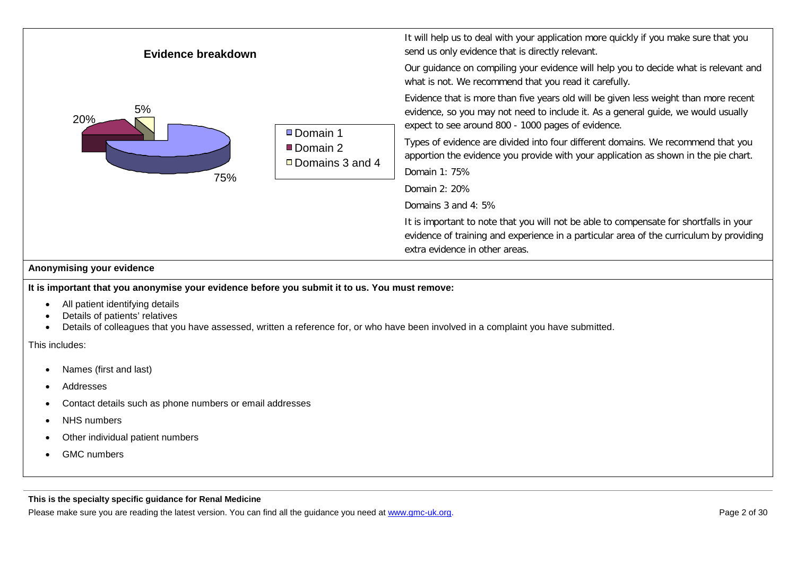

#### **Anonymising your evidence**

**It is important that you anonymise your evidence before you submit it to us. You must remove:**

- All patient identifying details
- Details of patients' relatives
- Details of colleagues that you have assessed, written a reference for, or who have been involved in a complaint you have submitted.

This includes:

- Names (first and last)
- Addresses
- Contact details such as phone numbers or email addresses
- **NHS** numbers
- Other individual patient numbers
- GMC numbers

#### **This is the specialty specific guidance for Renal Medicine**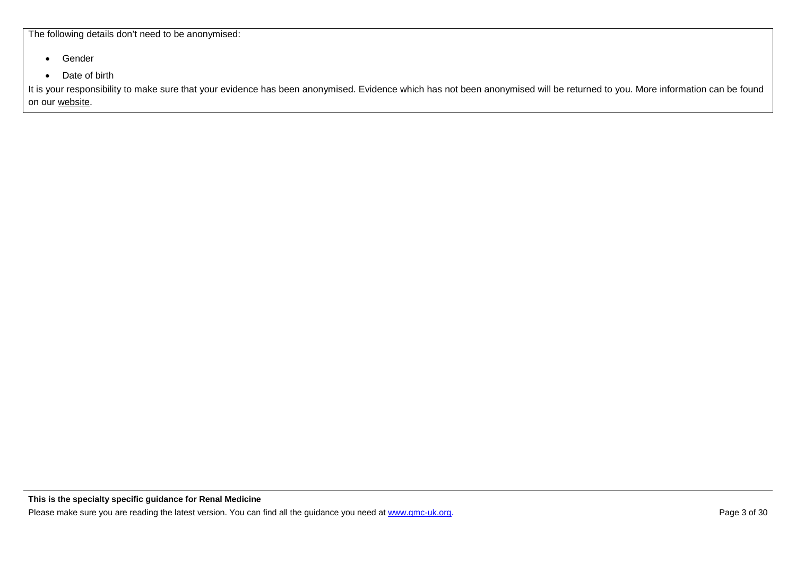The following details don't need to be anonymised:

- Gender
- Date of birth

It is your responsibility to make sure that your evidence has been anonymised. Evidence which has not been anonymised will be returned to you. More information can be found on our [website.](http://www.gmc-uk.org/doctors/24769.asp)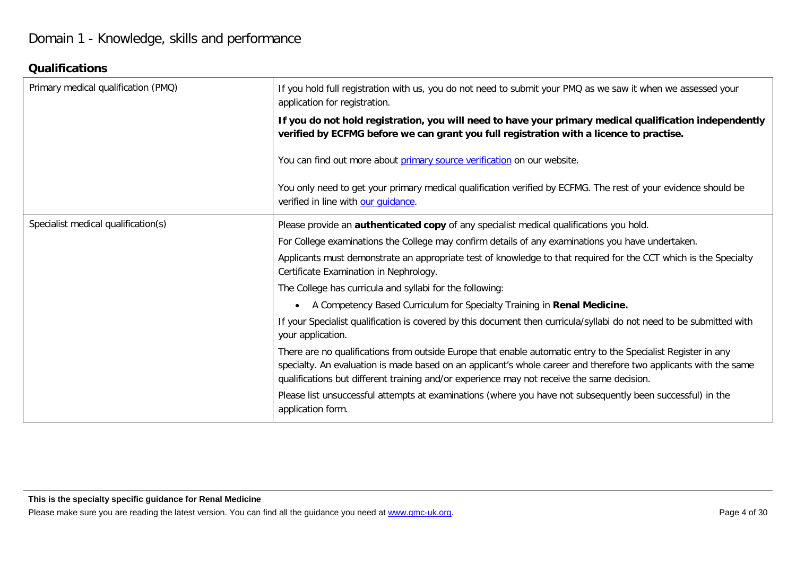## **Qualifications**

| Primary medical qualification (PMQ) | If you hold full registration with us, you do not need to submit your PMQ as we saw it when we assessed your<br>application for registration.                                                                                                                                                                                   |
|-------------------------------------|---------------------------------------------------------------------------------------------------------------------------------------------------------------------------------------------------------------------------------------------------------------------------------------------------------------------------------|
|                                     | If you do not hold registration, you will need to have your primary medical qualification independently<br>verified by ECFMG before we can grant you full registration with a licence to practise.                                                                                                                              |
|                                     | You can find out more about primary source verification on our website.                                                                                                                                                                                                                                                         |
|                                     | You only need to get your primary medical qualification verified by ECFMG. The rest of your evidence should be<br>verified in line with our quidance.                                                                                                                                                                           |
| Specialist medical qualification(s) | Please provide an authenticated copy of any specialist medical qualifications you hold.                                                                                                                                                                                                                                         |
|                                     | For College examinations the College may confirm details of any examinations you have undertaken.                                                                                                                                                                                                                               |
|                                     | Applicants must demonstrate an appropriate test of knowledge to that required for the CCT which is the Specialty<br>Certificate Examination in Nephrology.                                                                                                                                                                      |
|                                     | The College has curricula and syllabi for the following:                                                                                                                                                                                                                                                                        |
|                                     | A Competency Based Curriculum for Specialty Training in Renal Medicine.<br>$\bullet$                                                                                                                                                                                                                                            |
|                                     | If your Specialist qualification is covered by this document then curricula/syllabi do not need to be submitted with<br>your application.                                                                                                                                                                                       |
|                                     | There are no qualifications from outside Europe that enable automatic entry to the Specialist Register in any<br>specialty. An evaluation is made based on an applicant's whole career and therefore two applicants with the same<br>qualifications but different training and/or experience may not receive the same decision. |
|                                     | Please list unsuccessful attempts at examinations (where you have not subsequently been successful) in the<br>application form.                                                                                                                                                                                                 |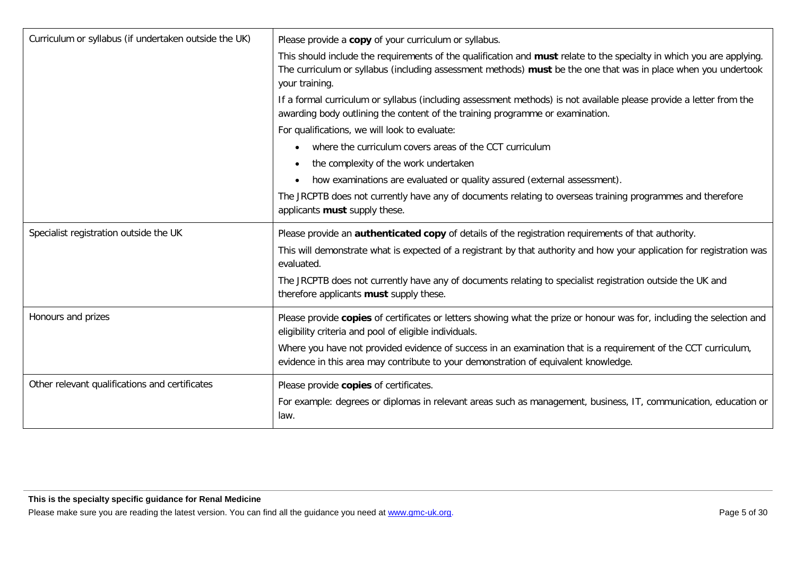| Curriculum or syllabus (if undertaken outside the UK) | Please provide a copy of your curriculum or syllabus.                                                                                                                                                                                                     |
|-------------------------------------------------------|-----------------------------------------------------------------------------------------------------------------------------------------------------------------------------------------------------------------------------------------------------------|
|                                                       | This should include the requirements of the qualification and must relate to the specialty in which you are applying.<br>The curriculum or syllabus (including assessment methods) must be the one that was in place when you undertook<br>your training. |
|                                                       | If a formal curriculum or syllabus (including assessment methods) is not available please provide a letter from the<br>awarding body outlining the content of the training programme or examination.                                                      |
|                                                       | For qualifications, we will look to evaluate:                                                                                                                                                                                                             |
|                                                       | where the curriculum covers areas of the CCT curriculum<br>$\bullet$                                                                                                                                                                                      |
|                                                       | the complexity of the work undertaken<br>$\bullet$                                                                                                                                                                                                        |
|                                                       | how examinations are evaluated or quality assured (external assessment).<br>$\bullet$                                                                                                                                                                     |
|                                                       | The JRCPTB does not currently have any of documents relating to overseas training programmes and therefore<br>applicants must supply these.                                                                                                               |
| Specialist registration outside the UK                | Please provide an <b>authenticated copy</b> of details of the registration requirements of that authority.                                                                                                                                                |
|                                                       | This will demonstrate what is expected of a registrant by that authority and how your application for registration was<br>evaluated.                                                                                                                      |
|                                                       | The JRCPTB does not currently have any of documents relating to specialist registration outside the UK and<br>therefore applicants must supply these.                                                                                                     |
| Honours and prizes                                    | Please provide copies of certificates or letters showing what the prize or honour was for, including the selection and<br>eligibility criteria and pool of eligible individuals.                                                                          |
|                                                       | Where you have not provided evidence of success in an examination that is a requirement of the CCT curriculum,<br>evidence in this area may contribute to your demonstration of equivalent knowledge.                                                     |
| Other relevant qualifications and certificates        | Please provide copies of certificates.<br>For example: degrees or diplomas in relevant areas such as management, business, IT, communication, education or<br>law.                                                                                        |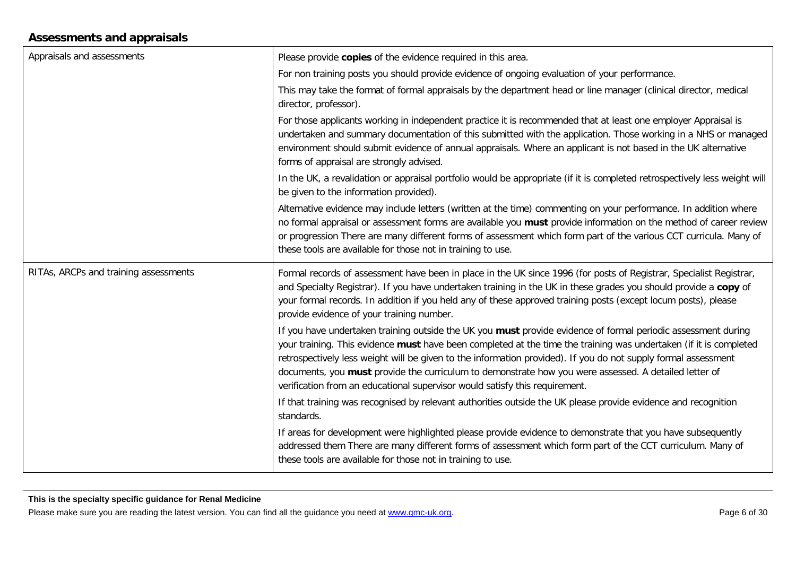## **Assessments and appraisals**

| Appraisals and assessments            | Please provide copies of the evidence required in this area.                                                                                                                                                                                                                                                                                                                                                                                                                                                                                 |
|---------------------------------------|----------------------------------------------------------------------------------------------------------------------------------------------------------------------------------------------------------------------------------------------------------------------------------------------------------------------------------------------------------------------------------------------------------------------------------------------------------------------------------------------------------------------------------------------|
|                                       | For non training posts you should provide evidence of ongoing evaluation of your performance.                                                                                                                                                                                                                                                                                                                                                                                                                                                |
|                                       | This may take the format of formal appraisals by the department head or line manager (clinical director, medical<br>director, professor).                                                                                                                                                                                                                                                                                                                                                                                                    |
|                                       | For those applicants working in independent practice it is recommended that at least one employer Appraisal is<br>undertaken and summary documentation of this submitted with the application. Those working in a NHS or managed<br>environment should submit evidence of annual appraisals. Where an applicant is not based in the UK alternative<br>forms of appraisal are strongly advised.                                                                                                                                               |
|                                       | In the UK, a revalidation or appraisal portfolio would be appropriate (if it is completed retrospectively less weight will<br>be given to the information provided).                                                                                                                                                                                                                                                                                                                                                                         |
|                                       | Alternative evidence may include letters (written at the time) commenting on your performance. In addition where<br>no formal appraisal or assessment forms are available you must provide information on the method of career review<br>or progression There are many different forms of assessment which form part of the various CCT curricula. Many of<br>these tools are available for those not in training to use.                                                                                                                    |
| RITAs, ARCPs and training assessments | Formal records of assessment have been in place in the UK since 1996 (for posts of Registrar, Specialist Registrar,<br>and Specialty Registrar). If you have undertaken training in the UK in these grades you should provide a copy of<br>your formal records. In addition if you held any of these approved training posts (except locum posts), please<br>provide evidence of your training number.                                                                                                                                       |
|                                       | If you have undertaken training outside the UK you must provide evidence of formal periodic assessment during<br>your training. This evidence must have been completed at the time the training was undertaken (if it is completed<br>retrospectively less weight will be given to the information provided). If you do not supply formal assessment<br>documents, you must provide the curriculum to demonstrate how you were assessed. A detailed letter of<br>verification from an educational supervisor would satisfy this requirement. |
|                                       | If that training was recognised by relevant authorities outside the UK please provide evidence and recognition<br>standards.                                                                                                                                                                                                                                                                                                                                                                                                                 |
|                                       | If areas for development were highlighted please provide evidence to demonstrate that you have subsequently<br>addressed them There are many different forms of assessment which form part of the CCT curriculum. Many of<br>these tools are available for those not in training to use.                                                                                                                                                                                                                                                     |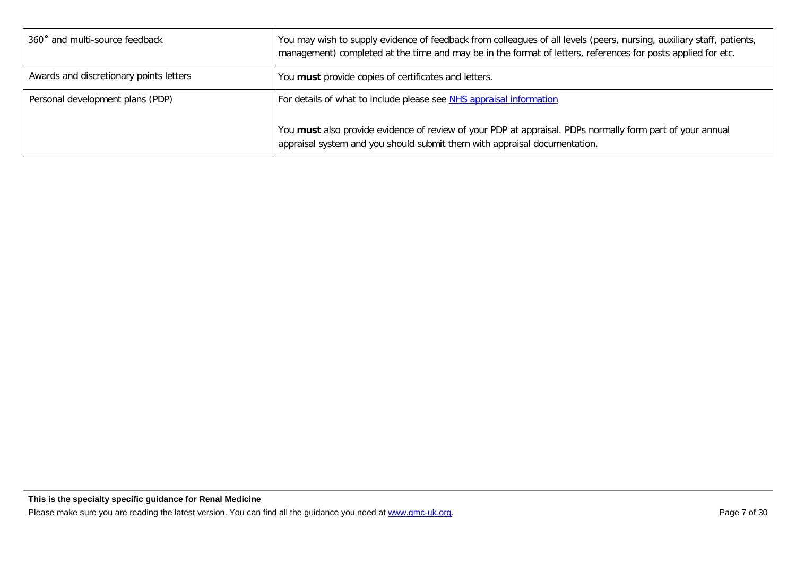| 360° and multi-source feedback          | You may wish to supply evidence of feedback from colleagues of all levels (peers, nursing, auxiliary staff, patients,<br>management) completed at the time and may be in the format of letters, references for posts applied for etc. |
|-----------------------------------------|---------------------------------------------------------------------------------------------------------------------------------------------------------------------------------------------------------------------------------------|
| Awards and discretionary points letters | You must provide copies of certificates and letters.                                                                                                                                                                                  |
| Personal development plans (PDP)        | For details of what to include please see NHS appraisal information                                                                                                                                                                   |
|                                         | You must also provide evidence of review of your PDP at appraisal. PDPs normally form part of your annual<br>appraisal system and you should submit them with appraisal documentation.                                                |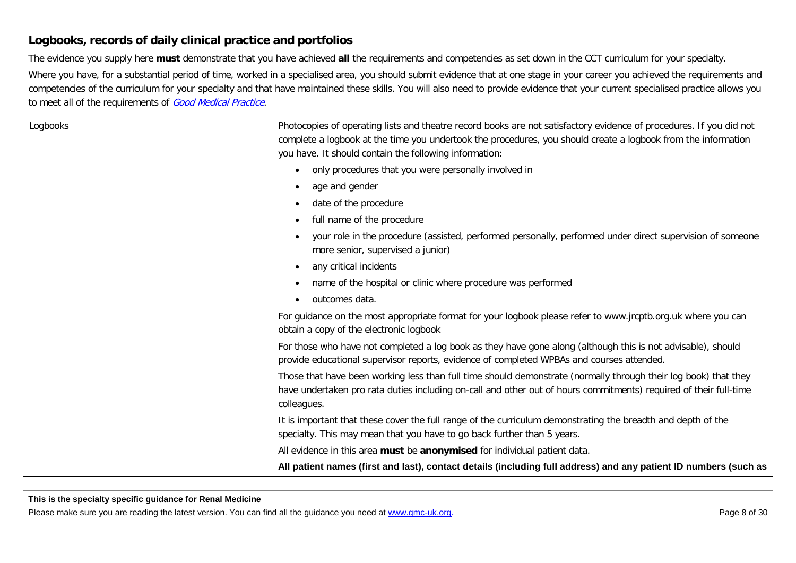### **Logbooks, records of daily clinical practice and portfolios**

The evidence you supply here **must** demonstrate that you have achieved **all** the requirements and competencies as set down in the CCT curriculum for your specialty.

Where you have, for a substantial period of time, worked in a specialised area, you should submit evidence that at one stage in your career you achieved the requirements and competencies of the curriculum for your specialty and that have maintained these skills. You will also need to provide evidence that your current specialised practice allows you to meet all of the requirements of [Good Medical Practice](http://www.gmc-uk.org/guidance/good_medical_practice.asp).

| Logbooks | Photocopies of operating lists and theatre record books are not satisfactory evidence of procedures. If you did not<br>complete a logbook at the time you undertook the procedures, you should create a logbook from the information<br>you have. It should contain the following information: |
|----------|------------------------------------------------------------------------------------------------------------------------------------------------------------------------------------------------------------------------------------------------------------------------------------------------|
|          | only procedures that you were personally involved in<br>$\bullet$                                                                                                                                                                                                                              |
|          | age and gender<br>$\bullet$                                                                                                                                                                                                                                                                    |
|          | date of the procedure<br>$\bullet$                                                                                                                                                                                                                                                             |
|          | full name of the procedure<br>$\bullet$                                                                                                                                                                                                                                                        |
|          | your role in the procedure (assisted, performed personally, performed under direct supervision of someone<br>more senior, supervised a junior)                                                                                                                                                 |
|          | any critical incidents<br>$\bullet$                                                                                                                                                                                                                                                            |
|          | name of the hospital or clinic where procedure was performed<br>$\bullet$                                                                                                                                                                                                                      |
|          | outcomes data.<br>$\bullet$                                                                                                                                                                                                                                                                    |
|          | For guidance on the most appropriate format for your logbook please refer to www.jrcptb.org.uk where you can<br>obtain a copy of the electronic logbook                                                                                                                                        |
|          | For those who have not completed a log book as they have gone along (although this is not advisable), should<br>provide educational supervisor reports, evidence of completed WPBAs and courses attended.                                                                                      |
|          | Those that have been working less than full time should demonstrate (normally through their log book) that they<br>have undertaken pro rata duties including on-call and other out of hours commitments) required of their full-time<br>colleagues.                                            |
|          | It is important that these cover the full range of the curriculum demonstrating the breadth and depth of the<br>specialty. This may mean that you have to go back further than 5 years.                                                                                                        |
|          | All evidence in this area must be anonymised for individual patient data.                                                                                                                                                                                                                      |
|          | All patient names (first and last), contact details (including full address) and any patient ID numbers (such as                                                                                                                                                                               |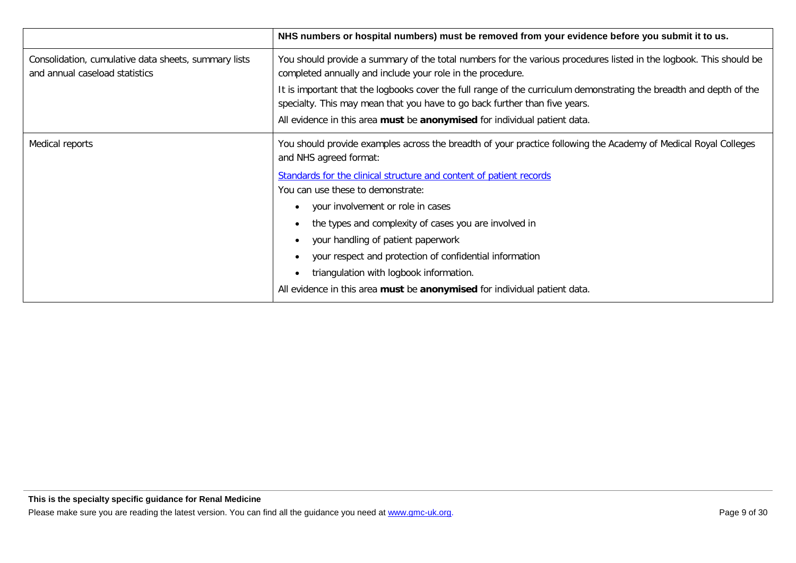|                                                                                        | NHS numbers or hospital numbers) must be removed from your evidence before you submit it to us.                                                                                                                                                                                                                                                                                                                                                                                                                                                                              |
|----------------------------------------------------------------------------------------|------------------------------------------------------------------------------------------------------------------------------------------------------------------------------------------------------------------------------------------------------------------------------------------------------------------------------------------------------------------------------------------------------------------------------------------------------------------------------------------------------------------------------------------------------------------------------|
| Consolidation, cumulative data sheets, summary lists<br>and annual caseload statistics | You should provide a summary of the total numbers for the various procedures listed in the logbook. This should be<br>completed annually and include your role in the procedure.<br>It is important that the logbooks cover the full range of the curriculum demonstrating the breadth and depth of the<br>specialty. This may mean that you have to go back further than five years.<br>All evidence in this area must be anonymised for individual patient data.                                                                                                           |
| Medical reports                                                                        | You should provide examples across the breadth of your practice following the Academy of Medical Royal Colleges<br>and NHS agreed format:<br>Standards for the clinical structure and content of patient records<br>You can use these to demonstrate:<br>your involvement or role in cases<br>the types and complexity of cases you are involved in<br>your handling of patient paperwork<br>your respect and protection of confidential information<br>triangulation with logbook information.<br>All evidence in this area must be anonymised for individual patient data. |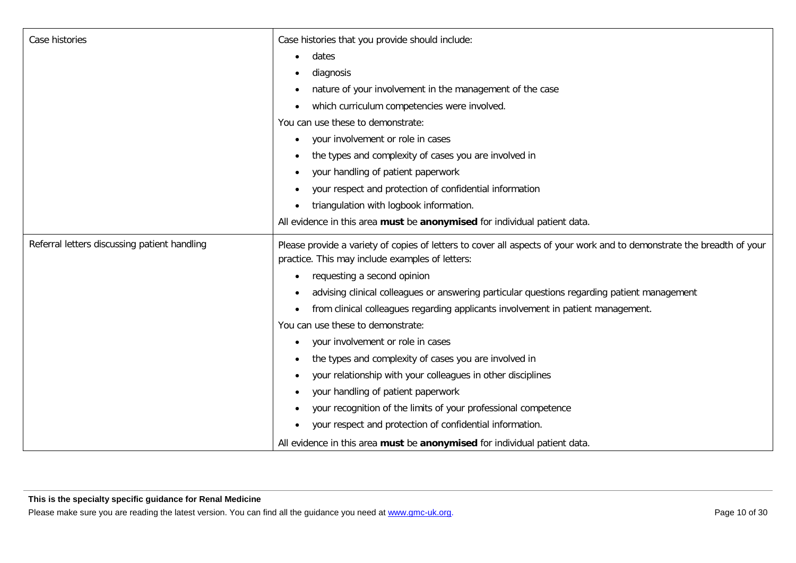| Case histories                               | Case histories that you provide should include:                                                                                                                           |
|----------------------------------------------|---------------------------------------------------------------------------------------------------------------------------------------------------------------------------|
|                                              | dates                                                                                                                                                                     |
|                                              | diagnosis                                                                                                                                                                 |
|                                              | nature of your involvement in the management of the case                                                                                                                  |
|                                              | which curriculum competencies were involved.                                                                                                                              |
|                                              | You can use these to demonstrate:                                                                                                                                         |
|                                              | your involvement or role in cases<br>$\bullet$                                                                                                                            |
|                                              | the types and complexity of cases you are involved in<br>$\bullet$                                                                                                        |
|                                              | your handling of patient paperwork                                                                                                                                        |
|                                              | your respect and protection of confidential information<br>$\bullet$                                                                                                      |
|                                              | triangulation with logbook information.                                                                                                                                   |
|                                              | All evidence in this area must be anonymised for individual patient data.                                                                                                 |
| Referral letters discussing patient handling | Please provide a variety of copies of letters to cover all aspects of your work and to demonstrate the breadth of your<br>practice. This may include examples of letters: |
|                                              | requesting a second opinion                                                                                                                                               |
|                                              | advising clinical colleagues or answering particular questions regarding patient management<br>٠                                                                          |
|                                              | from clinical colleagues regarding applicants involvement in patient management.<br>$\bullet$                                                                             |
|                                              | You can use these to demonstrate:                                                                                                                                         |
|                                              | your involvement or role in cases<br>$\bullet$                                                                                                                            |
|                                              | the types and complexity of cases you are involved in<br>٠                                                                                                                |
|                                              | your relationship with your colleagues in other disciplines                                                                                                               |
|                                              | your handling of patient paperwork<br>٠                                                                                                                                   |
|                                              | your recognition of the limits of your professional competence                                                                                                            |
|                                              | your respect and protection of confidential information.<br>٠                                                                                                             |
|                                              | All evidence in this area must be anonymised for individual patient data.                                                                                                 |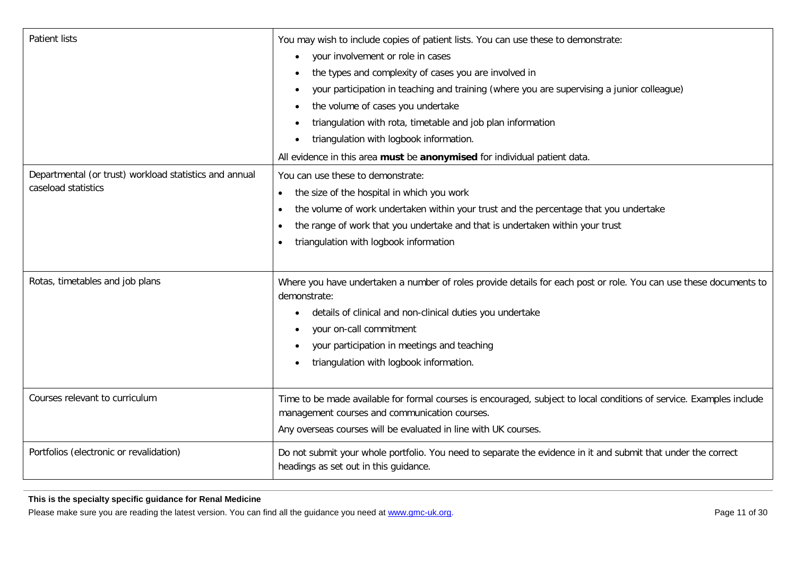| <b>Patient lists</b>                                                          | You may wish to include copies of patient lists. You can use these to demonstrate:<br>your involvement or role in cases<br>$\bullet$<br>the types and complexity of cases you are involved in<br>your participation in teaching and training (where you are supervising a junior colleague)<br>٠<br>the volume of cases you undertake<br>٠<br>triangulation with rota, timetable and job plan information<br>٠<br>triangulation with logbook information.<br>All evidence in this area must be anonymised for individual patient data. |
|-------------------------------------------------------------------------------|----------------------------------------------------------------------------------------------------------------------------------------------------------------------------------------------------------------------------------------------------------------------------------------------------------------------------------------------------------------------------------------------------------------------------------------------------------------------------------------------------------------------------------------|
| Departmental (or trust) workload statistics and annual<br>caseload statistics | You can use these to demonstrate:<br>the size of the hospital in which you work<br>$\bullet$<br>the volume of work undertaken within your trust and the percentage that you undertake<br>$\bullet$<br>the range of work that you undertake and that is undertaken within your trust<br>$\bullet$<br>triangulation with logbook information<br>$\bullet$                                                                                                                                                                                |
| Rotas, timetables and job plans                                               | Where you have undertaken a number of roles provide details for each post or role. You can use these documents to<br>demonstrate:<br>details of clinical and non-clinical duties you undertake<br>٠<br>your on-call commitment<br>your participation in meetings and teaching<br>$\bullet$<br>triangulation with logbook information.                                                                                                                                                                                                  |
| Courses relevant to curriculum                                                | Time to be made available for formal courses is encouraged, subject to local conditions of service. Examples include<br>management courses and communication courses.<br>Any overseas courses will be evaluated in line with UK courses.                                                                                                                                                                                                                                                                                               |
| Portfolios (electronic or revalidation)                                       | Do not submit your whole portfolio. You need to separate the evidence in it and submit that under the correct<br>headings as set out in this guidance.                                                                                                                                                                                                                                                                                                                                                                                 |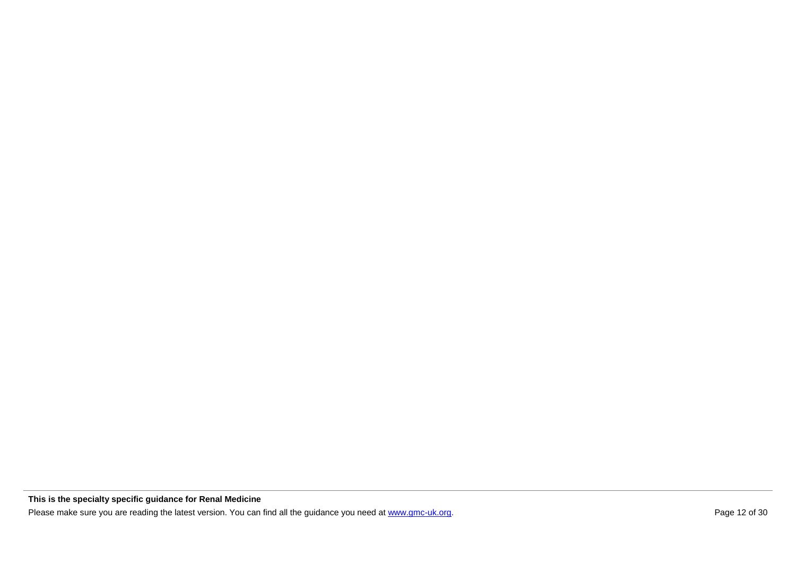**This is the specialty specific guidance for Renal Medicine**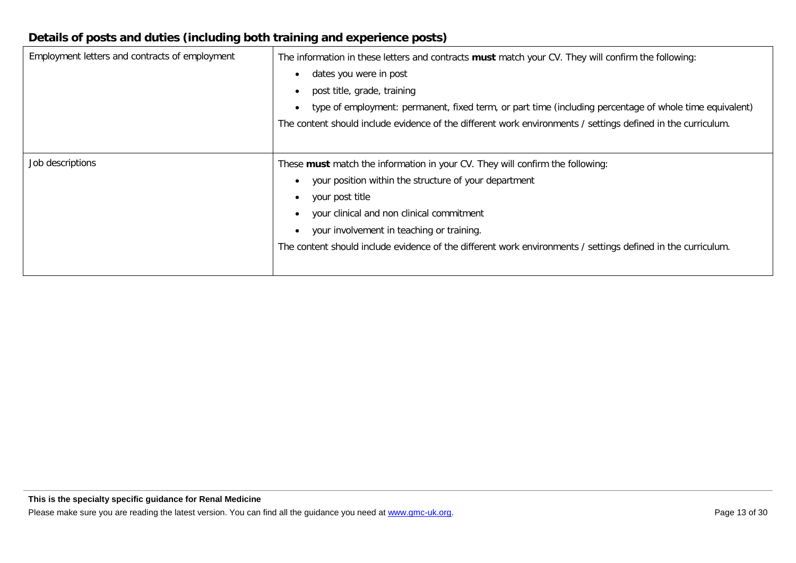## **Details of posts and duties (including both training and experience posts)**

| Employment letters and contracts of employment | The information in these letters and contracts must match your CV. They will confirm the following:<br>dates you were in post<br>post title, grade, training<br>type of employment: permanent, fixed term, or part time (including percentage of whole time equivalent)<br>The content should include evidence of the different work environments / settings defined in the curriculum. |
|------------------------------------------------|-----------------------------------------------------------------------------------------------------------------------------------------------------------------------------------------------------------------------------------------------------------------------------------------------------------------------------------------------------------------------------------------|
| Job descriptions                               | These must match the information in your CV. They will confirm the following:<br>your position within the structure of your department<br>your post title<br>your clinical and non clinical commitment<br>your involvement in teaching or training.<br>The content should include evidence of the different work environments / settings defined in the curriculum.                     |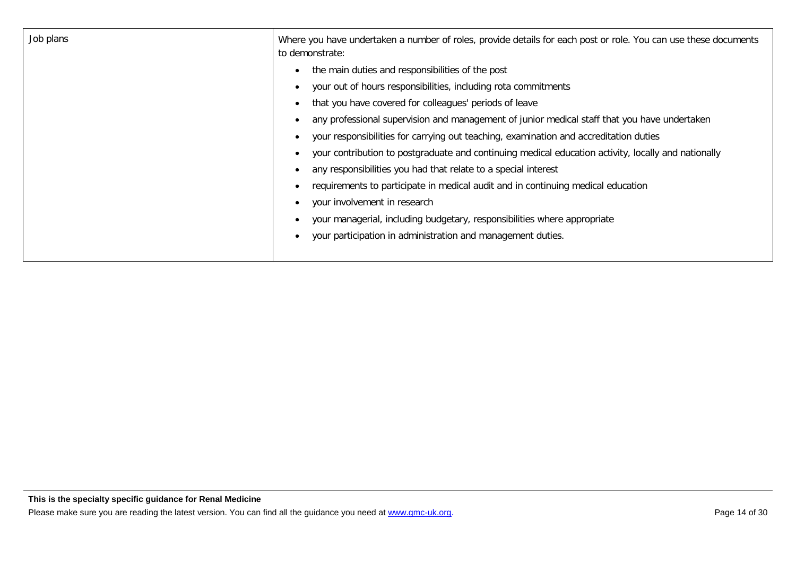| Job plans | Where you have undertaken a number of roles, provide details for each post or role. You can use these documents<br>to demonstrate: |
|-----------|------------------------------------------------------------------------------------------------------------------------------------|
|           | the main duties and responsibilities of the post<br>$\bullet$                                                                      |
|           | your out of hours responsibilities, including rota commitments                                                                     |
|           | that you have covered for colleagues' periods of leave                                                                             |
|           | any professional supervision and management of junior medical staff that you have undertaken                                       |
|           | your responsibilities for carrying out teaching, examination and accreditation duties                                              |
|           | your contribution to postgraduate and continuing medical education activity, locally and nationally                                |
|           | any responsibilities you had that relate to a special interest                                                                     |
|           | requirements to participate in medical audit and in continuing medical education                                                   |
|           | your involvement in research                                                                                                       |
|           | your managerial, including budgetary, responsibilities where appropriate                                                           |
|           | your participation in administration and management duties.                                                                        |
|           |                                                                                                                                    |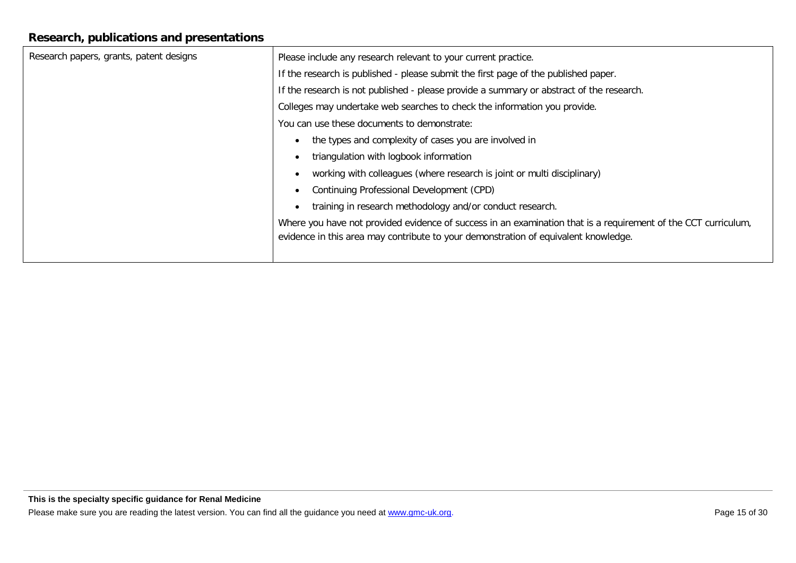## **Research, publications and presentations**

| Research papers, grants, patent designs | Please include any research relevant to your current practice.                                                                                                                                        |
|-----------------------------------------|-------------------------------------------------------------------------------------------------------------------------------------------------------------------------------------------------------|
|                                         | If the research is published - please submit the first page of the published paper.                                                                                                                   |
|                                         | If the research is not published - please provide a summary or abstract of the research.                                                                                                              |
|                                         | Colleges may undertake web searches to check the information you provide.                                                                                                                             |
|                                         | You can use these documents to demonstrate:                                                                                                                                                           |
|                                         | the types and complexity of cases you are involved in<br>$\bullet$                                                                                                                                    |
|                                         | triangulation with logbook information                                                                                                                                                                |
|                                         | working with colleagues (where research is joint or multi disciplinary)                                                                                                                               |
|                                         | Continuing Professional Development (CPD)<br>$\bullet$                                                                                                                                                |
|                                         | training in research methodology and/or conduct research.                                                                                                                                             |
|                                         | Where you have not provided evidence of success in an examination that is a requirement of the CCT curriculum,<br>evidence in this area may contribute to your demonstration of equivalent knowledge. |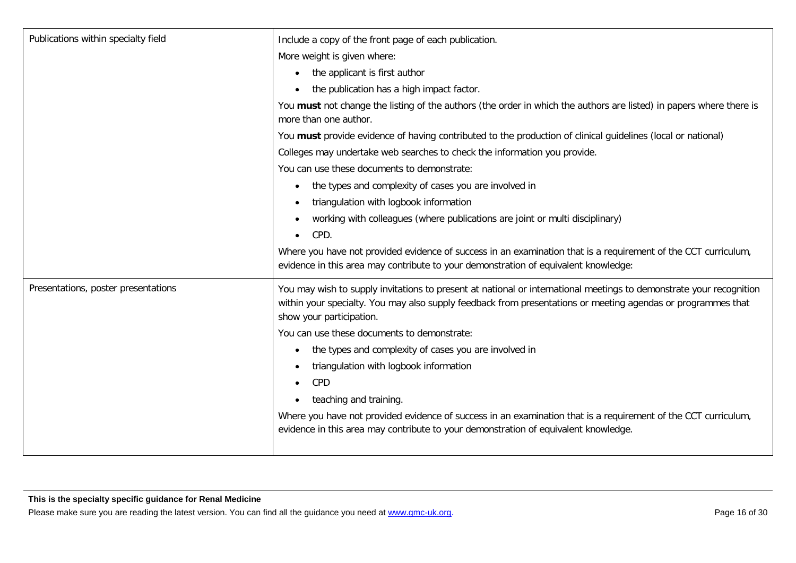| Publications within specialty field | Include a copy of the front page of each publication.                                                                                                                                                                                                           |
|-------------------------------------|-----------------------------------------------------------------------------------------------------------------------------------------------------------------------------------------------------------------------------------------------------------------|
|                                     | More weight is given where:                                                                                                                                                                                                                                     |
|                                     | the applicant is first author<br>$\bullet$                                                                                                                                                                                                                      |
|                                     | the publication has a high impact factor.                                                                                                                                                                                                                       |
|                                     | You must not change the listing of the authors (the order in which the authors are listed) in papers where there is<br>more than one author.                                                                                                                    |
|                                     | You must provide evidence of having contributed to the production of clinical guidelines (local or national)                                                                                                                                                    |
|                                     | Colleges may undertake web searches to check the information you provide.                                                                                                                                                                                       |
|                                     | You can use these documents to demonstrate:                                                                                                                                                                                                                     |
|                                     | the types and complexity of cases you are involved in<br>$\bullet$                                                                                                                                                                                              |
|                                     | triangulation with logbook information<br>$\bullet$                                                                                                                                                                                                             |
|                                     | working with colleagues (where publications are joint or multi disciplinary)<br>$\bullet$                                                                                                                                                                       |
|                                     | CPD.<br>$\bullet$                                                                                                                                                                                                                                               |
|                                     | Where you have not provided evidence of success in an examination that is a requirement of the CCT curriculum,<br>evidence in this area may contribute to your demonstration of equivalent knowledge:                                                           |
| Presentations, poster presentations | You may wish to supply invitations to present at national or international meetings to demonstrate your recognition<br>within your specialty. You may also supply feedback from presentations or meeting agendas or programmes that<br>show your participation. |
|                                     | You can use these documents to demonstrate:                                                                                                                                                                                                                     |
|                                     | the types and complexity of cases you are involved in<br>٠                                                                                                                                                                                                      |
|                                     | triangulation with logbook information<br>$\bullet$                                                                                                                                                                                                             |
|                                     | CPD<br>$\bullet$                                                                                                                                                                                                                                                |
|                                     | teaching and training.<br>٠                                                                                                                                                                                                                                     |
|                                     | Where you have not provided evidence of success in an examination that is a requirement of the CCT curriculum,                                                                                                                                                  |
|                                     | evidence in this area may contribute to your demonstration of equivalent knowledge.                                                                                                                                                                             |
|                                     |                                                                                                                                                                                                                                                                 |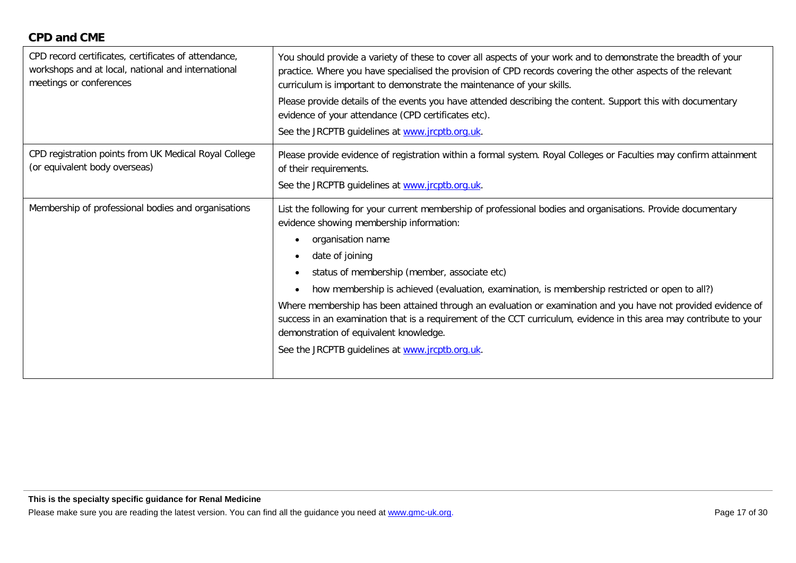### **CPD and CME**

| CPD record certificates, certificates of attendance,<br>workshops and at local, national and international<br>meetings or conferences | You should provide a variety of these to cover all aspects of your work and to demonstrate the breadth of your<br>practice. Where you have specialised the provision of CPD records covering the other aspects of the relevant<br>curriculum is important to demonstrate the maintenance of your skills.<br>Please provide details of the events you have attended describing the content. Support this with documentary<br>evidence of your attendance (CPD certificates etc).<br>See the JRCPTB guidelines at www.jrcptb.org.uk.                                                                                                                                                                                                          |
|---------------------------------------------------------------------------------------------------------------------------------------|---------------------------------------------------------------------------------------------------------------------------------------------------------------------------------------------------------------------------------------------------------------------------------------------------------------------------------------------------------------------------------------------------------------------------------------------------------------------------------------------------------------------------------------------------------------------------------------------------------------------------------------------------------------------------------------------------------------------------------------------|
| CPD registration points from UK Medical Royal College<br>(or equivalent body overseas)                                                | Please provide evidence of registration within a formal system. Royal Colleges or Faculties may confirm attainment<br>of their requirements.<br>See the JRCPTB guidelines at www.jrcptb.org.uk.                                                                                                                                                                                                                                                                                                                                                                                                                                                                                                                                             |
| Membership of professional bodies and organisations                                                                                   | List the following for your current membership of professional bodies and organisations. Provide documentary<br>evidence showing membership information:<br>organisation name<br>$\bullet$<br>date of joining<br>$\bullet$<br>status of membership (member, associate etc)<br>$\bullet$<br>how membership is achieved (evaluation, examination, is membership restricted or open to all?)<br>$\bullet$<br>Where membership has been attained through an evaluation or examination and you have not provided evidence of<br>success in an examination that is a requirement of the CCT curriculum, evidence in this area may contribute to your<br>demonstration of equivalent knowledge.<br>See the JRCPTB guidelines at www.jrcptb.org.uk. |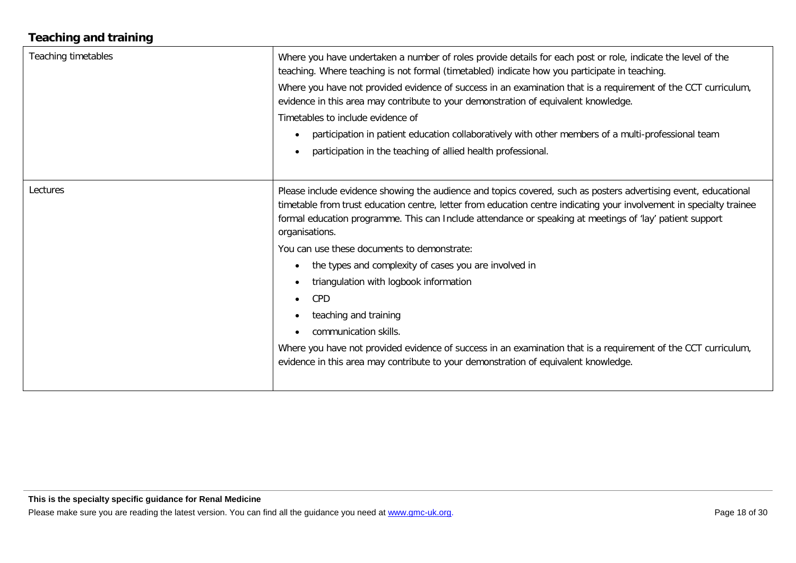## **Teaching and training**

| Teaching timetables | Where you have undertaken a number of roles provide details for each post or role, indicate the level of the<br>teaching. Where teaching is not formal (timetabled) indicate how you participate in teaching.<br>Where you have not provided evidence of success in an examination that is a requirement of the CCT curriculum,<br>evidence in this area may contribute to your demonstration of equivalent knowledge.<br>Timetables to include evidence of<br>participation in patient education collaboratively with other members of a multi-professional team<br>participation in the teaching of allied health professional.                                                                                                                                                                                                                    |
|---------------------|------------------------------------------------------------------------------------------------------------------------------------------------------------------------------------------------------------------------------------------------------------------------------------------------------------------------------------------------------------------------------------------------------------------------------------------------------------------------------------------------------------------------------------------------------------------------------------------------------------------------------------------------------------------------------------------------------------------------------------------------------------------------------------------------------------------------------------------------------|
| Lectures            | Please include evidence showing the audience and topics covered, such as posters advertising event, educational<br>timetable from trust education centre, letter from education centre indicating your involvement in specialty trainee<br>formal education programme. This can Include attendance or speaking at meetings of 'lay' patient support<br>organisations.<br>You can use these documents to demonstrate:<br>the types and complexity of cases you are involved in<br>$\bullet$<br>triangulation with logbook information<br>$\bullet$<br><b>CPD</b><br>$\bullet$<br>teaching and training<br>$\bullet$<br>communication skills.<br>Where you have not provided evidence of success in an examination that is a requirement of the CCT curriculum,<br>evidence in this area may contribute to your demonstration of equivalent knowledge. |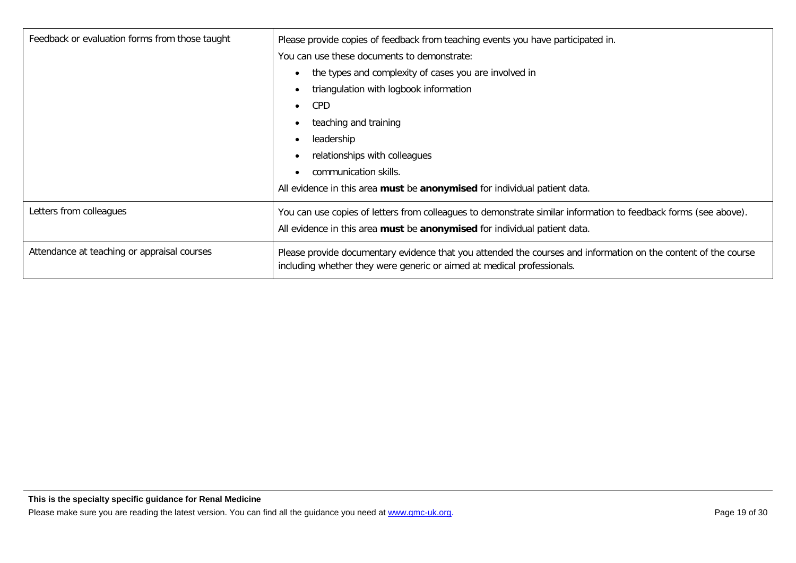| Feedback or evaluation forms from those taught | Please provide copies of feedback from teaching events you have participated in.                                                                                                         |
|------------------------------------------------|------------------------------------------------------------------------------------------------------------------------------------------------------------------------------------------|
|                                                | You can use these documents to demonstrate:                                                                                                                                              |
|                                                | the types and complexity of cases you are involved in                                                                                                                                    |
|                                                | triangulation with logbook information                                                                                                                                                   |
|                                                | <b>CPD</b><br>$\bullet$                                                                                                                                                                  |
|                                                | teaching and training                                                                                                                                                                    |
|                                                | leadership                                                                                                                                                                               |
|                                                | relationships with colleagues                                                                                                                                                            |
|                                                | communication skills.                                                                                                                                                                    |
|                                                | All evidence in this area must be anonymised for individual patient data.                                                                                                                |
| Letters from colleagues                        | You can use copies of letters from colleagues to demonstrate similar information to feedback forms (see above).                                                                          |
|                                                | All evidence in this area must be anonymised for individual patient data.                                                                                                                |
| Attendance at teaching or appraisal courses    | Please provide documentary evidence that you attended the courses and information on the content of the course<br>including whether they were generic or aimed at medical professionals. |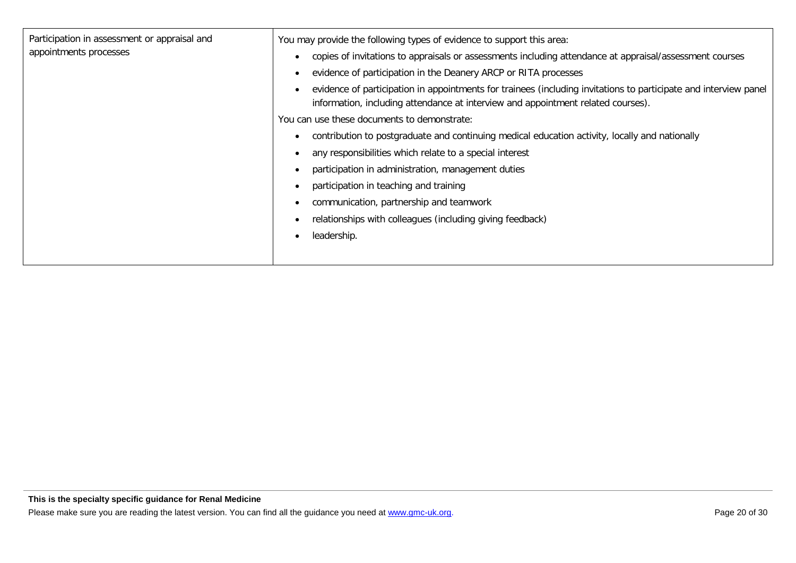| Participation in assessment or appraisal and | You may provide the following types of evidence to support this area:                                                                                                                                |
|----------------------------------------------|------------------------------------------------------------------------------------------------------------------------------------------------------------------------------------------------------|
| appointments processes                       | copies of invitations to appraisals or assessments including attendance at appraisal/assessment courses                                                                                              |
|                                              | evidence of participation in the Deanery ARCP or RITA processes                                                                                                                                      |
|                                              | evidence of participation in appointments for trainees (including invitations to participate and interview panel<br>information, including attendance at interview and appointment related courses). |
|                                              | You can use these documents to demonstrate:                                                                                                                                                          |
|                                              | contribution to postgraduate and continuing medical education activity, locally and nationally                                                                                                       |
|                                              | any responsibilities which relate to a special interest                                                                                                                                              |
|                                              | participation in administration, management duties                                                                                                                                                   |
|                                              | participation in teaching and training                                                                                                                                                               |
|                                              | communication, partnership and teamwork                                                                                                                                                              |
|                                              | relationships with colleagues (including giving feedback)                                                                                                                                            |
|                                              | leadership.                                                                                                                                                                                          |
|                                              |                                                                                                                                                                                                      |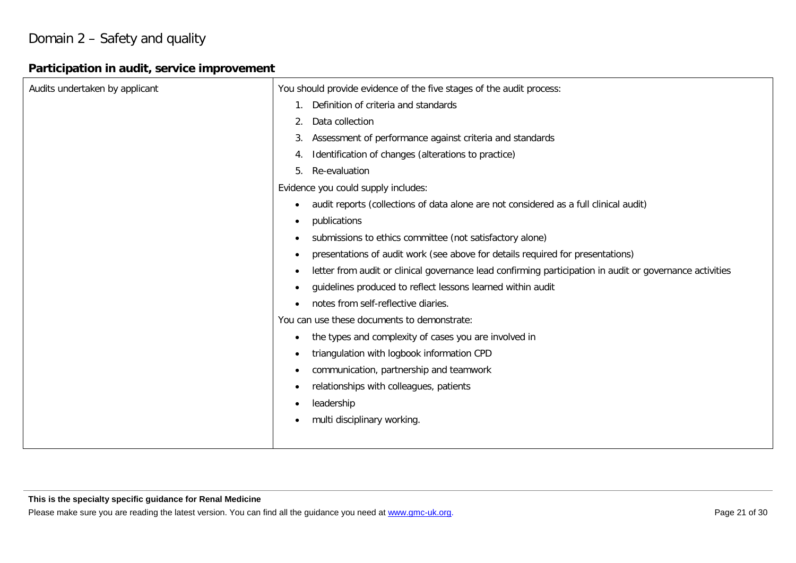## Domain 2 – Safety and quality

## **Participation in audit, service improvement**

| Audits undertaken by applicant | You should provide evidence of the five stages of the audit process:                                                  |
|--------------------------------|-----------------------------------------------------------------------------------------------------------------------|
|                                | Definition of criteria and standards                                                                                  |
|                                | Data collection<br>2.                                                                                                 |
|                                | Assessment of performance against criteria and standards<br>3.                                                        |
|                                | Identification of changes (alterations to practice)<br>4.                                                             |
|                                | Re-evaluation<br>5.                                                                                                   |
|                                | Evidence you could supply includes:                                                                                   |
|                                | audit reports (collections of data alone are not considered as a full clinical audit)<br>$\bullet$                    |
|                                | publications<br>$\bullet$                                                                                             |
|                                | submissions to ethics committee (not satisfactory alone)<br>$\bullet$                                                 |
|                                | presentations of audit work (see above for details required for presentations)<br>$\bullet$                           |
|                                | letter from audit or clinical governance lead confirming participation in audit or governance activities<br>$\bullet$ |
|                                | guidelines produced to reflect lessons learned within audit<br>$\bullet$                                              |
|                                | notes from self-reflective diaries.<br>$\bullet$                                                                      |
|                                | You can use these documents to demonstrate:                                                                           |
|                                | the types and complexity of cases you are involved in<br>$\bullet$                                                    |
|                                | triangulation with logbook information CPD                                                                            |
|                                | communication, partnership and teamwork<br>$\bullet$                                                                  |
|                                | relationships with colleagues, patients<br>$\bullet$                                                                  |
|                                | leadership                                                                                                            |
|                                | multi disciplinary working.                                                                                           |
|                                |                                                                                                                       |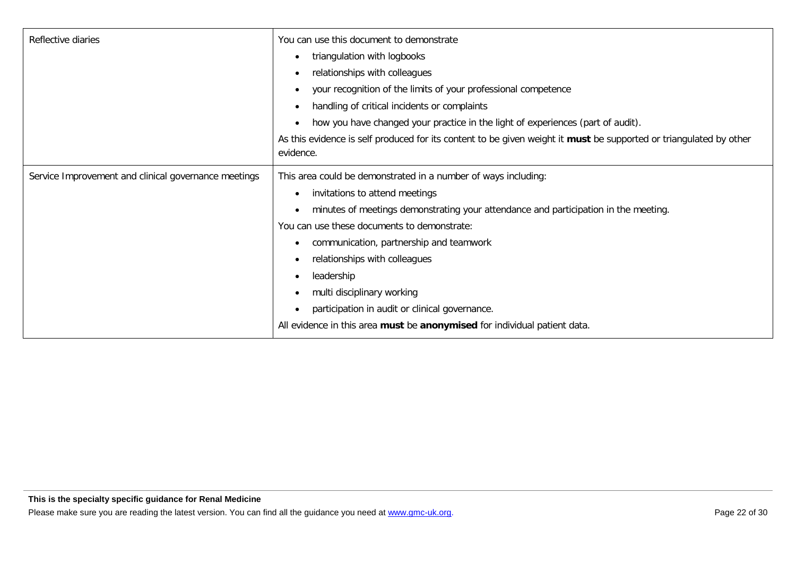| Reflective diaries                                   | You can use this document to demonstrate                                                                           |
|------------------------------------------------------|--------------------------------------------------------------------------------------------------------------------|
|                                                      | triangulation with logbooks                                                                                        |
|                                                      | relationships with colleagues<br>$\bullet$                                                                         |
|                                                      | your recognition of the limits of your professional competence                                                     |
|                                                      | handling of critical incidents or complaints<br>٠                                                                  |
|                                                      | how you have changed your practice in the light of experiences (part of audit).<br>$\bullet$                       |
|                                                      | As this evidence is self produced for its content to be given weight it must be supported or triangulated by other |
|                                                      | evidence.                                                                                                          |
| Service Improvement and clinical governance meetings | This area could be demonstrated in a number of ways including:                                                     |
|                                                      | invitations to attend meetings<br>$\bullet$                                                                        |
|                                                      | minutes of meetings demonstrating your attendance and participation in the meeting.                                |
|                                                      | You can use these documents to demonstrate:                                                                        |
|                                                      | communication, partnership and teamwork                                                                            |
|                                                      | relationships with colleagues                                                                                      |
|                                                      | leadership<br>$\bullet$                                                                                            |
|                                                      | multi disciplinary working                                                                                         |
|                                                      | participation in audit or clinical governance.<br>$\bullet$                                                        |
|                                                      | All evidence in this area must be anonymised for individual patient data.                                          |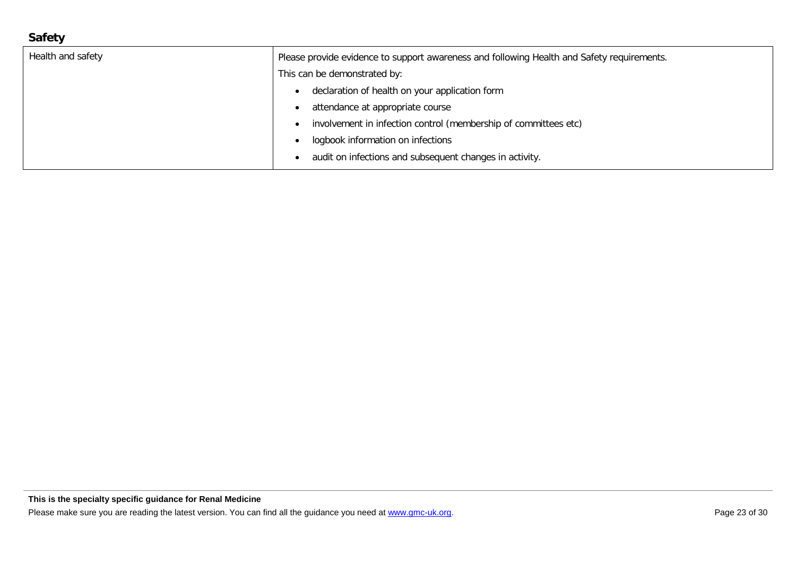## **Safety**

| Health and safety | Please provide evidence to support awareness and following Health and Safety requirements. |
|-------------------|--------------------------------------------------------------------------------------------|
|                   | This can be demonstrated by:                                                               |
|                   | declaration of health on your application form                                             |
|                   | attendance at appropriate course                                                           |
|                   | involvement in infection control (membership of committees etc)                            |
|                   | logbook information on infections                                                          |
|                   | audit on infections and subsequent changes in activity.                                    |
|                   |                                                                                            |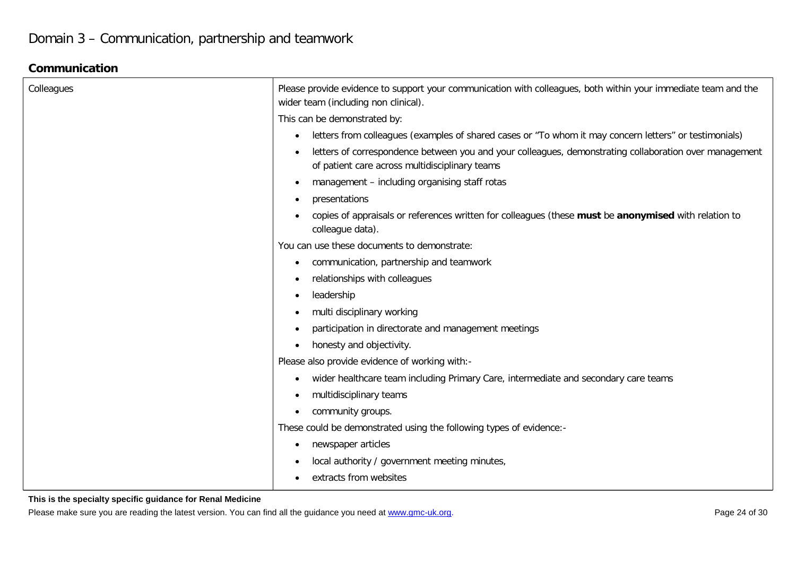## **Communication**

| Colleagues | Please provide evidence to support your communication with colleagues, both within your immediate team and the<br>wider team (including non clinical).   |
|------------|----------------------------------------------------------------------------------------------------------------------------------------------------------|
|            | This can be demonstrated by:                                                                                                                             |
|            | letters from colleagues (examples of shared cases or "To whom it may concern letters" or testimonials)<br>$\bullet$                                      |
|            | letters of correspondence between you and your colleagues, demonstrating collaboration over management<br>of patient care across multidisciplinary teams |
|            | management - including organising staff rotas                                                                                                            |
|            | presentations                                                                                                                                            |
|            | copies of appraisals or references written for colleagues (these must be anonymised with relation to<br>colleague data).                                 |
|            | You can use these documents to demonstrate:                                                                                                              |
|            | communication, partnership and teamwork<br>$\bullet$                                                                                                     |
|            | relationships with colleagues<br>$\bullet$                                                                                                               |
|            | leadership<br>$\bullet$                                                                                                                                  |
|            | multi disciplinary working<br>$\bullet$                                                                                                                  |
|            | participation in directorate and management meetings<br>$\bullet$                                                                                        |
|            | honesty and objectivity.<br>$\bullet$                                                                                                                    |
|            | Please also provide evidence of working with:-                                                                                                           |
|            | wider healthcare team including Primary Care, intermediate and secondary care teams<br>٠                                                                 |
|            | multidisciplinary teams<br>$\bullet$                                                                                                                     |
|            | community groups.<br>$\bullet$                                                                                                                           |
|            | These could be demonstrated using the following types of evidence:-                                                                                      |
|            | newspaper articles<br>$\bullet$                                                                                                                          |
|            | local authority / government meeting minutes,<br>$\bullet$                                                                                               |
|            | extracts from websites                                                                                                                                   |

#### **This is the specialty specific guidance for Renal Medicine**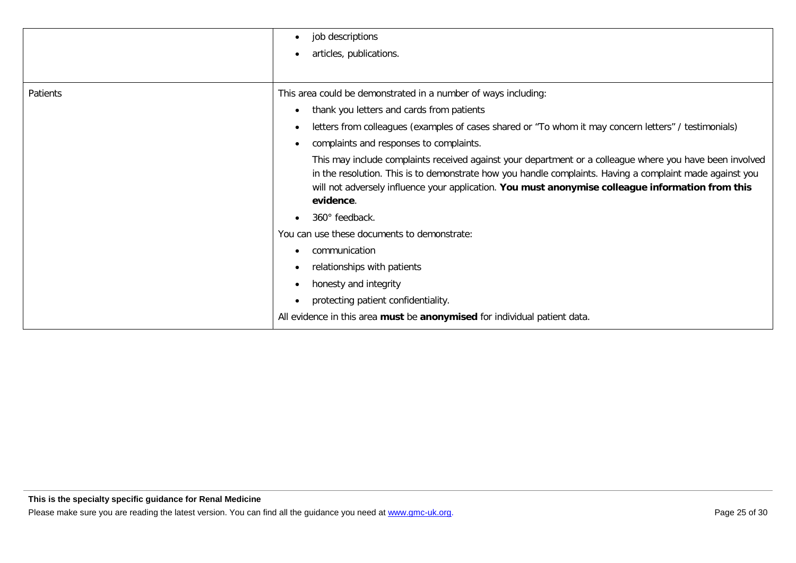|          | job descriptions<br>$\bullet$                                                                                                                                                                                                                                                                                                          |
|----------|----------------------------------------------------------------------------------------------------------------------------------------------------------------------------------------------------------------------------------------------------------------------------------------------------------------------------------------|
|          | articles, publications.                                                                                                                                                                                                                                                                                                                |
|          |                                                                                                                                                                                                                                                                                                                                        |
| Patients | This area could be demonstrated in a number of ways including:                                                                                                                                                                                                                                                                         |
|          | thank you letters and cards from patients<br>$\bullet$                                                                                                                                                                                                                                                                                 |
|          | letters from colleagues (examples of cases shared or "To whom it may concern letters" / testimonials)<br>$\bullet$                                                                                                                                                                                                                     |
|          | complaints and responses to complaints.                                                                                                                                                                                                                                                                                                |
|          | This may include complaints received against your department or a colleague where you have been involved<br>in the resolution. This is to demonstrate how you handle complaints. Having a complaint made against you<br>will not adversely influence your application. You must anonymise colleague information from this<br>evidence. |
|          | 360° feedback.                                                                                                                                                                                                                                                                                                                         |
|          | You can use these documents to demonstrate:                                                                                                                                                                                                                                                                                            |
|          | communication                                                                                                                                                                                                                                                                                                                          |
|          | relationships with patients                                                                                                                                                                                                                                                                                                            |
|          | honesty and integrity                                                                                                                                                                                                                                                                                                                  |
|          | protecting patient confidentiality.                                                                                                                                                                                                                                                                                                    |
|          | All evidence in this area must be anonymised for individual patient data.                                                                                                                                                                                                                                                              |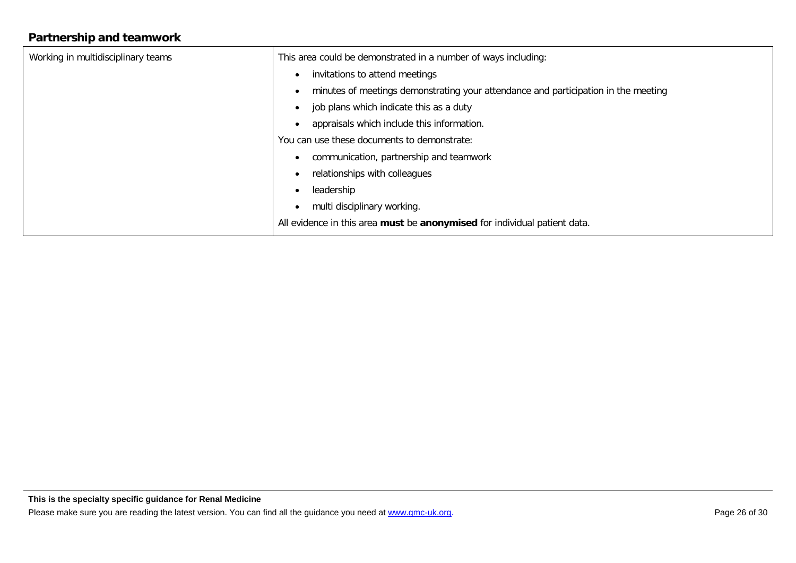## **Partnership and teamwork**

| Working in multidisciplinary teams | This area could be demonstrated in a number of ways including:                     |
|------------------------------------|------------------------------------------------------------------------------------|
|                                    | invitations to attend meetings<br>$\bullet$                                        |
|                                    | minutes of meetings demonstrating your attendance and participation in the meeting |
|                                    | job plans which indicate this as a duty<br>$\bullet$                               |
|                                    | appraisals which include this information.                                         |
|                                    | You can use these documents to demonstrate:                                        |
|                                    | communication, partnership and teamwork                                            |
|                                    | relationships with colleagues                                                      |
|                                    | leadership                                                                         |
|                                    | multi disciplinary working.                                                        |
|                                    | All evidence in this area must be anonymised for individual patient data.          |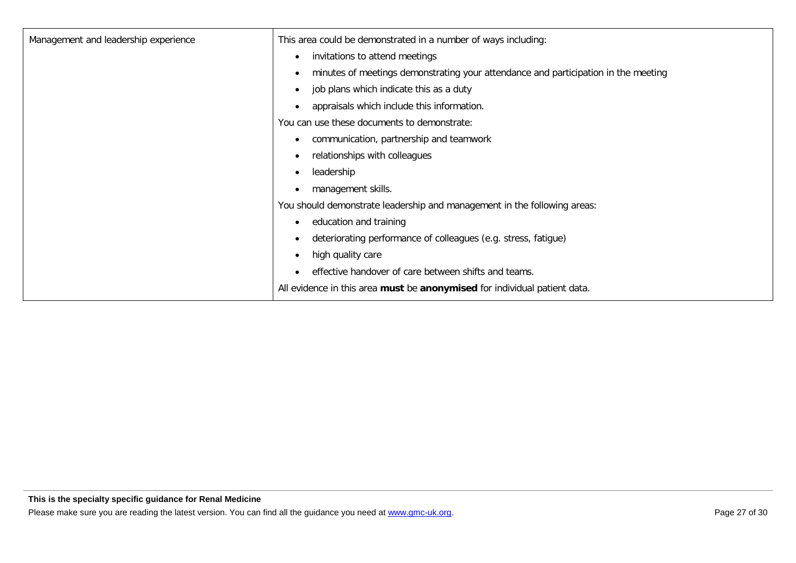| Management and leadership experience | This area could be demonstrated in a number of ways including:                                  |
|--------------------------------------|-------------------------------------------------------------------------------------------------|
|                                      | invitations to attend meetings<br>$\bullet$                                                     |
|                                      | minutes of meetings demonstrating your attendance and participation in the meeting<br>$\bullet$ |
|                                      | job plans which indicate this as a duty<br>$\bullet$                                            |
|                                      | appraisals which include this information.<br>$\bullet$                                         |
|                                      | You can use these documents to demonstrate:                                                     |
|                                      | communication, partnership and teamwork<br>$\bullet$                                            |
|                                      | relationships with colleagues<br>$\bullet$                                                      |
|                                      | leadership<br>$\bullet$                                                                         |
|                                      | management skills.<br>$\bullet$                                                                 |
|                                      | You should demonstrate leadership and management in the following areas:                        |
|                                      | education and training<br>$\bullet$                                                             |
|                                      | deteriorating performance of colleagues (e.g. stress, fatigue)<br>$\bullet$                     |
|                                      | high quality care<br>$\bullet$                                                                  |
|                                      | effective handover of care between shifts and teams.                                            |
|                                      | All evidence in this area must be anonymised for individual patient data.                       |
|                                      |                                                                                                 |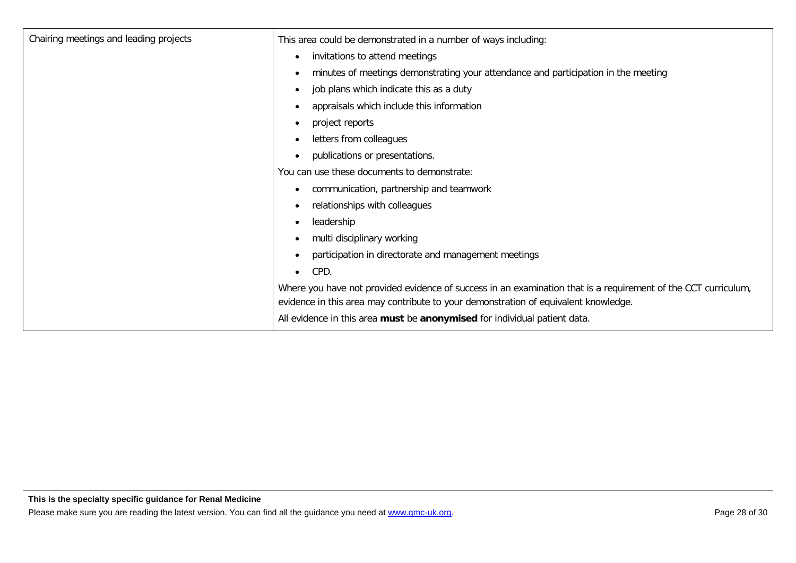| Chairing meetings and leading projects | This area could be demonstrated in a number of ways including:                                                                                                                                        |
|----------------------------------------|-------------------------------------------------------------------------------------------------------------------------------------------------------------------------------------------------------|
|                                        | invitations to attend meetings<br>$\bullet$                                                                                                                                                           |
|                                        | minutes of meetings demonstrating your attendance and participation in the meeting<br>$\bullet$                                                                                                       |
|                                        | job plans which indicate this as a duty<br>$\bullet$                                                                                                                                                  |
|                                        | appraisals which include this information<br>٠                                                                                                                                                        |
|                                        | project reports<br>$\bullet$                                                                                                                                                                          |
|                                        | letters from colleagues<br>$\bullet$                                                                                                                                                                  |
|                                        | publications or presentations.<br>$\bullet$                                                                                                                                                           |
|                                        | You can use these documents to demonstrate:                                                                                                                                                           |
|                                        | communication, partnership and teamwork<br>$\bullet$                                                                                                                                                  |
|                                        | relationships with colleagues<br>$\bullet$                                                                                                                                                            |
|                                        | leadership<br>$\bullet$                                                                                                                                                                               |
|                                        | multi disciplinary working<br>$\bullet$                                                                                                                                                               |
|                                        | participation in directorate and management meetings<br>$\bullet$                                                                                                                                     |
|                                        | CPD.<br>$\bullet$                                                                                                                                                                                     |
|                                        | Where you have not provided evidence of success in an examination that is a requirement of the CCT curriculum,<br>evidence in this area may contribute to your demonstration of equivalent knowledge. |
|                                        | All evidence in this area must be anonymised for individual patient data.                                                                                                                             |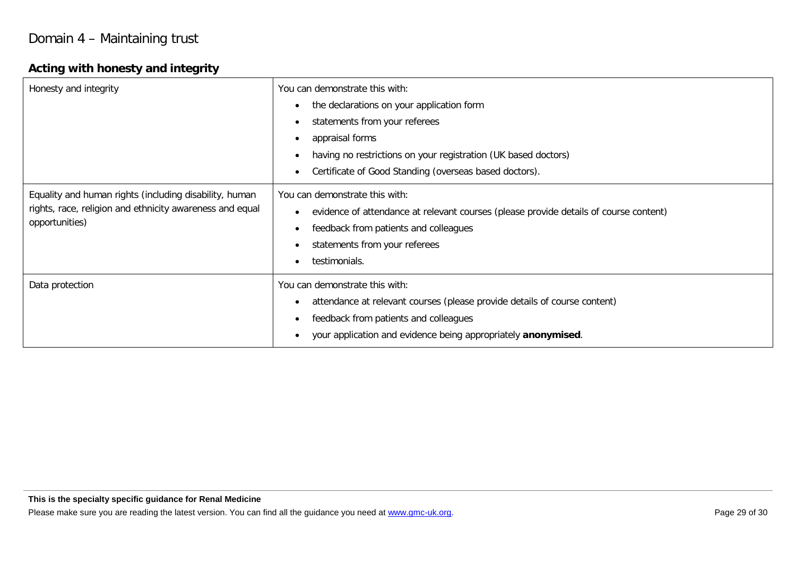## **Acting with honesty and integrity**

| Honesty and integrity                                                                                                                | You can demonstrate this with:<br>the declarations on your application form<br>$\bullet$<br>statements from your referees<br>$\bullet$<br>appraisal forms<br>$\bullet$<br>having no restrictions on your registration (UK based doctors)<br>Certificate of Good Standing (overseas based doctors). |
|--------------------------------------------------------------------------------------------------------------------------------------|----------------------------------------------------------------------------------------------------------------------------------------------------------------------------------------------------------------------------------------------------------------------------------------------------|
| Equality and human rights (including disability, human<br>rights, race, religion and ethnicity awareness and equal<br>opportunities) | You can demonstrate this with:<br>evidence of attendance at relevant courses (please provide details of course content)<br>$\bullet$<br>feedback from patients and colleagues<br>$\bullet$<br>statements from your referees<br>testimonials.                                                       |
| Data protection                                                                                                                      | You can demonstrate this with:<br>attendance at relevant courses (please provide details of course content)<br>$\bullet$<br>feedback from patients and colleagues<br>$\bullet$<br>your application and evidence being appropriately anonymised.                                                    |